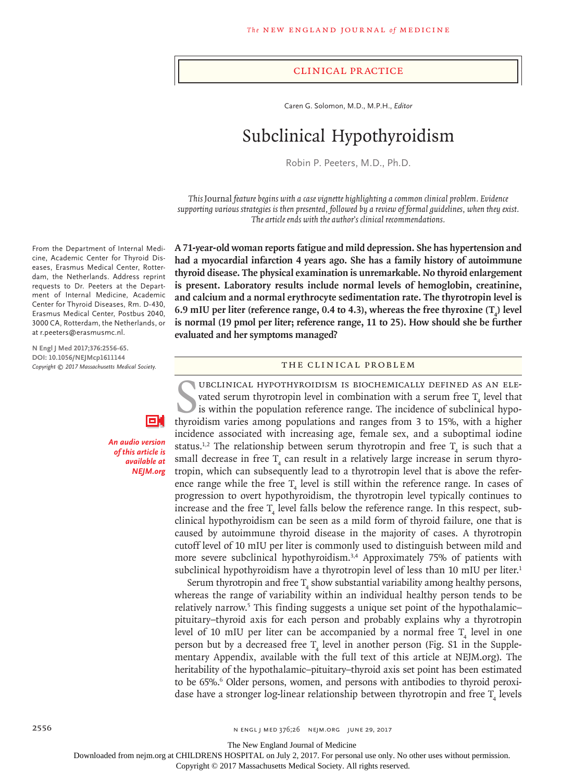#### Clinical Practice

Caren G. Solomon, M.D., M.P.H., *Editor*

# Subclinical Hypothyroidism

Robin P. Peeters, M.D., Ph.D.

*This* Journal *feature begins with a case vignette highlighting a common clinical problem. Evidence supporting various strategies is then presented, followed by a review of formal guidelines, when they exist. The article ends with the author's clinical recommendations.*

**A 71-year-old woman reports fatigue and mild depression. She has hypertension and had a myocardial infarction 4 years ago. She has a family history of autoimmune thyroid disease. The physical examination is unremarkable. No thyroid enlargement is present. Laboratory results include normal levels of hemoglobin, creatinine, and calcium and a normal erythrocyte sedimentation rate. The thyrotropin level is**  6.9 mIU per liter (reference range,  $0.4$  to  $4.3$ ), whereas the free thyroxine  $(T_4)$  level **is normal (19 pmol per liter; reference range, 11 to 25). How should she be further evaluated and her symptoms managed?**

## The Clinical Problem

UBCLINICAL HYPOTHYROIDISM IS BIOCHEMICALLY DEFINED AS AN ELE-<br>vated serum thyrotropin level in combination with a serum free  $T_4$  level that<br>is within the population reference range. The incidence of subclinical hypo-<br>th ubclinical hypothyroidism is biochemically defined as an elevated serum thyrotropin level in combination with a serum free  $\mathrm{T}_4$  level that is within the population reference range. The incidence of subclinical hypoincidence associated with increasing age, female sex, and a suboptimal iodine status.<sup>1,2</sup> The relationship between serum thyrotropin and free  $T_4$  is such that a small decrease in free  $T_4$  can result in a relatively large increase in serum thyrotropin, which can subsequently lead to a thyrotropin level that is above the reference range while the free  $T_4$  level is still within the reference range. In cases of progression to overt hypothyroidism, the thyrotropin level typically continues to increase and the free  $T_4$  level falls below the reference range. In this respect, subclinical hypothyroidism can be seen as a mild form of thyroid failure, one that is caused by autoimmune thyroid disease in the majority of cases. A thyrotropin cutoff level of 10 mIU per liter is commonly used to distinguish between mild and more severe subclinical hypothyroidism.<sup>3,4</sup> Approximately 75% of patients with subclinical hypothyroidism have a thyrotropin level of less than 10 mIU per liter.<sup>1</sup>

Serum thyrotropin and free  $T_4$  show substantial variability among healthy persons, whereas the range of variability within an individual healthy person tends to be relatively narrow.<sup>5</sup> This finding suggests a unique set point of the hypothalamicpituitary–thyroid axis for each person and probably explains why a thyrotropin level of 10 mIU per liter can be accompanied by a normal free  $T_4$  level in one person but by a decreased free  $T_4$  level in another person (Fig. S1 in the Supplementary Appendix, available with the full text of this article at NEJM.org). The heritability of the hypothalamic–pituitary–thyroid axis set point has been estimated to be 65%.<sup>6</sup> Older persons, women, and persons with antibodies to thyroid peroxidase have a stronger log-linear relationship between thyrotropin and free  $T_4$  levels

From the Department of Internal Medicine, Academic Center for Thyroid Diseases, Erasmus Medical Center, Rotterdam, the Netherlands. Address reprint requests to Dr. Peeters at the Department of Internal Medicine, Academic Center for Thyroid Diseases, Rm. D-430, Erasmus Medical Center, Postbus 2040, 3000 CA, Rotterdam, the Netherlands, or at r.peeters@erasmusmc.nl.

**N Engl J Med 2017;376:2556-65. DOI: 10.1056/NEJMcp1611144** *Copyright © 2017 Massachusetts Medical Society.*



*An audio version of this article is available at NEJM.org*

2556 **n ENGL JMED 376;26 NEIM.ORG JUNE 29, 2017** 

The New England Journal of Medicine

Downloaded from nejm.org at CHILDRENS HOSPITAL on July 2, 2017. For personal use only. No other uses without permission.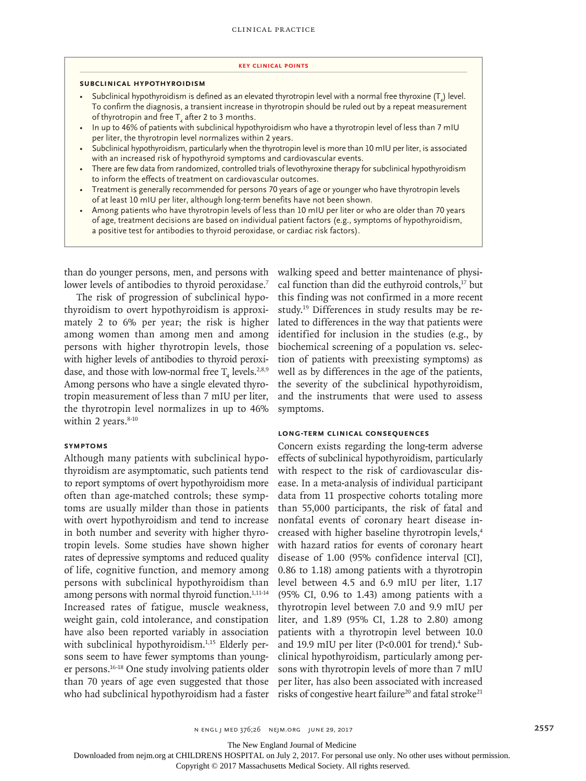#### **Key Clinical Points**

#### **Subclinical Hypothyroidism**

- Subclinical hypothyroidism is defined as an elevated thyrotropin level with a normal free thyroxine  $(\mathsf{T}_4)$  level. To confirm the diagnosis, a transient increase in thyrotropin should be ruled out by a repeat measurement of thyrotropin and free  $\mathsf{T}_4$  after 2 to 3 months.
- In up to 46% of patients with subclinical hypothyroidism who have a thyrotropin level of less than 7 mIU per liter, the thyrotropin level normalizes within 2 years.
- Subclinical hypothyroidism, particularly when the thyrotropin level is more than 10 mIU per liter, is associated with an increased risk of hypothyroid symptoms and cardiovascular events.
- There are few data from randomized, controlled trials of levothyroxine therapy for subclinical hypothyroidism to inform the effects of treatment on cardiovascular outcomes.
- Treatment is generally recommended for persons 70 years of age or younger who have thyrotropin levels of at least 10 mIU per liter, although long-term benefits have not been shown.
- Among patients who have thyrotropin levels of less than 10 mIU per liter or who are older than 70 years of age, treatment decisions are based on individual patient factors (e.g., symptoms of hypothyroidism, a positive test for antibodies to thyroid peroxidase, or cardiac risk factors).

than do younger persons, men, and persons with lower levels of antibodies to thyroid peroxidase.<sup>7</sup>

The risk of progression of subclinical hypothyroidism to overt hypothyroidism is approximately 2 to 6% per year; the risk is higher among women than among men and among persons with higher thyrotropin levels, those with higher levels of antibodies to thyroid peroxidase, and those with low-normal free  $T_4$  levels.<sup>2,8,9</sup> Among persons who have a single elevated thyrotropin measurement of less than 7 mIU per liter, the thyrotropin level normalizes in up to 46% within 2 years. $8-10$ 

## **Symptoms**

Although many patients with subclinical hypothyroidism are asymptomatic, such patients tend to report symptoms of overt hypothyroidism more often than age-matched controls; these symptoms are usually milder than those in patients with overt hypothyroidism and tend to increase in both number and severity with higher thyrotropin levels. Some studies have shown higher rates of depressive symptoms and reduced quality of life, cognitive function, and memory among persons with subclinical hypothyroidism than among persons with normal thyroid function.<sup>1,11-14</sup> Increased rates of fatigue, muscle weakness, weight gain, cold intolerance, and constipation have also been reported variably in association with subclinical hypothyroidism.<sup>1,15</sup> Elderly persons seem to have fewer symptoms than younger persons.16-18 One study involving patients older than 70 years of age even suggested that those who had subclinical hypothyroidism had a faster walking speed and better maintenance of physical function than did the euthyroid controls,<sup>17</sup> but this finding was not confirmed in a more recent study.19 Differences in study results may be related to differences in the way that patients were identified for inclusion in the studies (e.g., by biochemical screening of a population vs. selection of patients with preexisting symptoms) as well as by differences in the age of the patients, the severity of the subclinical hypothyroidism, and the instruments that were used to assess symptoms.

## **Long-Term Clinical Consequences**

Concern exists regarding the long-term adverse effects of subclinical hypothyroidism, particularly with respect to the risk of cardiovascular disease. In a meta-analysis of individual participant data from 11 prospective cohorts totaling more than 55,000 participants, the risk of fatal and nonfatal events of coronary heart disease increased with higher baseline thyrotropin levels,<sup>4</sup> with hazard ratios for events of coronary heart disease of 1.00 (95% confidence interval [CI], 0.86 to 1.18) among patients with a thyrotropin level between 4.5 and 6.9 mIU per liter, 1.17 (95% CI, 0.96 to 1.43) among patients with a thyrotropin level between 7.0 and 9.9 mIU per liter, and 1.89 (95% CI, 1.28 to 2.80) among patients with a thyrotropin level between 10.0 and 19.9 mIU per liter (P<0.001 for trend).<sup>4</sup> Subclinical hypothyroidism, particularly among persons with thyrotropin levels of more than 7 mIU per liter, has also been associated with increased risks of congestive heart failure<sup>20</sup> and fatal stroke<sup>21</sup>

The New England Journal of Medicine

Downloaded from nejm.org at CHILDRENS HOSPITAL on July 2, 2017. For personal use only. No other uses without permission.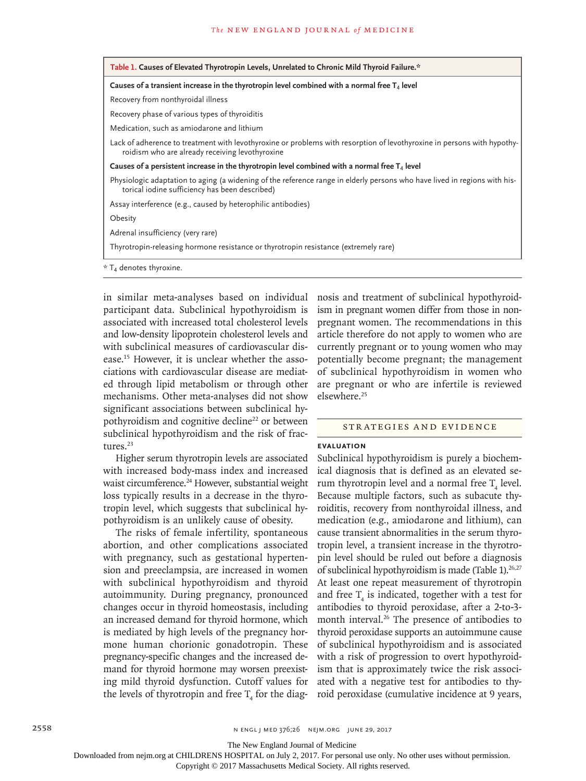| Table 1. Causes of Elevated Thyrotropin Levels, Unrelated to Chronic Mild Thyroid Failure.*                                                                                 |  |  |  |
|-----------------------------------------------------------------------------------------------------------------------------------------------------------------------------|--|--|--|
| Causes of a transient increase in the thyrotropin level combined with a normal free $T_4$ level                                                                             |  |  |  |
| Recovery from nonthyroidal illness                                                                                                                                          |  |  |  |
| Recovery phase of various types of thyroiditis                                                                                                                              |  |  |  |
| Medication, such as amiodarone and lithium                                                                                                                                  |  |  |  |
| Lack of adherence to treatment with levothyroxine or problems with resorption of levothyroxine in persons with hypothy-<br>roidism who are already receiving levothyroxine  |  |  |  |
| Causes of a persistent increase in the thyrotropin level combined with a normal free $T_4$ level                                                                            |  |  |  |
| Physiologic adaptation to aging (a widening of the reference range in elderly persons who have lived in regions with his-<br>torical iodine sufficiency has been described) |  |  |  |
| Assay interference (e.g., caused by heterophilic antibodies)                                                                                                                |  |  |  |
| Obesity                                                                                                                                                                     |  |  |  |
| Adrenal insufficiency (very rare)                                                                                                                                           |  |  |  |
| Thyrotropin-releasing hormone resistance or thyrotropin resistance (extremely rare)                                                                                         |  |  |  |
| $*$ T <sub>4</sub> denotes thyroxine.                                                                                                                                       |  |  |  |

in similar meta-analyses based on individual participant data. Subclinical hypothyroidism is associated with increased total cholesterol levels and low-density lipoprotein cholesterol levels and with subclinical measures of cardiovascular disease.15 However, it is unclear whether the associations with cardiovascular disease are mediated through lipid metabolism or through other mechanisms. Other meta-analyses did not show significant associations between subclinical hypothyroidism and cognitive decline<sup>22</sup> or between subclinical hypothyroidism and the risk of fractures.23

Higher serum thyrotropin levels are associated with increased body-mass index and increased waist circumference.<sup>24</sup> However, substantial weight loss typically results in a decrease in the thyrotropin level, which suggests that subclinical hypothyroidism is an unlikely cause of obesity.

The risks of female infertility, spontaneous abortion, and other complications associated with pregnancy, such as gestational hypertension and preeclampsia, are increased in women with subclinical hypothyroidism and thyroid autoimmunity. During pregnancy, pronounced changes occur in thyroid homeostasis, including an increased demand for thyroid hormone, which is mediated by high levels of the pregnancy hormone human chorionic gonadotropin. These pregnancy-specific changes and the increased demand for thyroid hormone may worsen preexisting mild thyroid dysfunction. Cutoff values for the levels of thyrotropin and free  $T_4$  for the diagnosis and treatment of subclinical hypothyroidism in pregnant women differ from those in nonpregnant women. The recommendations in this article therefore do not apply to women who are currently pregnant or to young women who may potentially become pregnant; the management of subclinical hypothyroidism in women who are pregnant or who are infertile is reviewed elsewhere.25

## Strategies and Evidence

## **Evaluation**

Subclinical hypothyroidism is purely a biochemical diagnosis that is defined as an elevated serum thyrotropin level and a normal free  $T_4$  level. Because multiple factors, such as subacute thyroiditis, recovery from nonthyroidal illness, and medication (e.g., amiodarone and lithium), can cause transient abnormalities in the serum thyrotropin level, a transient increase in the thyrotropin level should be ruled out before a diagnosis of subclinical hypothyroidism is made (Table 1).<sup>26,27</sup> At least one repeat measurement of thyrotropin and free  $T_4$  is indicated, together with a test for antibodies to thyroid peroxidase, after a 2-to-3 month interval.<sup>26</sup> The presence of antibodies to thyroid peroxidase supports an autoimmune cause of subclinical hypothyroidism and is associated with a risk of progression to overt hypothyroidism that is approximately twice the risk associated with a negative test for antibodies to thyroid peroxidase (cumulative incidence at 9 years,

The New England Journal of Medicine

Downloaded from nejm.org at CHILDRENS HOSPITAL on July 2, 2017. For personal use only. No other uses without permission.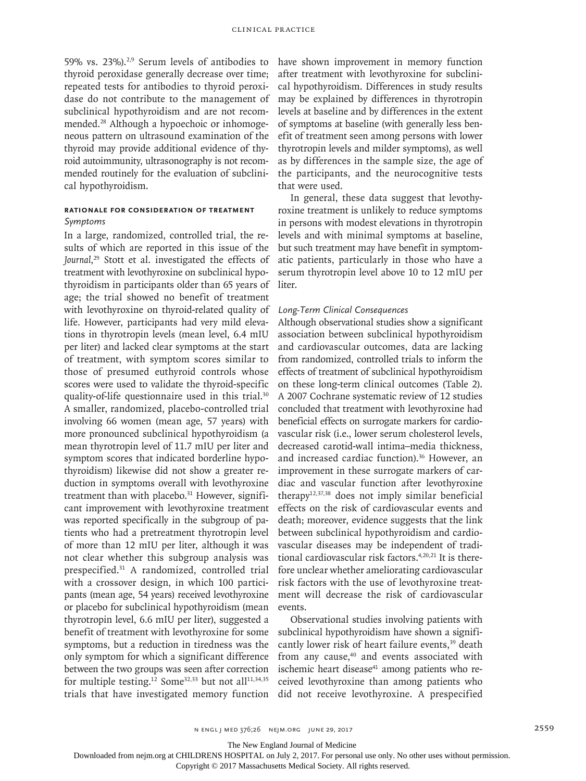59% vs. 23%).2,9 Serum levels of antibodies to thyroid peroxidase generally decrease over time; repeated tests for antibodies to thyroid peroxidase do not contribute to the management of subclinical hypothyroidism and are not recommended.28 Although a hypoechoic or inhomogeneous pattern on ultrasound examination of the thyroid may provide additional evidence of thyroid autoimmunity, ultrasonography is not recommended routinely for the evaluation of subclinical hypothyroidism.

# **Rationale for Consideration of Treatment** *Symptoms*

In a large, randomized, controlled trial, the results of which are reported in this issue of the *Journal*, 29 Stott et al. investigated the effects of treatment with levothyroxine on subclinical hypothyroidism in participants older than 65 years of age; the trial showed no benefit of treatment with levothyroxine on thyroid-related quality of life. However, participants had very mild elevations in thyrotropin levels (mean level, 6.4 mIU per liter) and lacked clear symptoms at the start of treatment, with symptom scores similar to those of presumed euthyroid controls whose scores were used to validate the thyroid-specific quality-of-life questionnaire used in this trial.<sup>30</sup> A smaller, randomized, placebo-controlled trial involving 66 women (mean age, 57 years) with more pronounced subclinical hypothyroidism (a mean thyrotropin level of 11.7 mIU per liter and symptom scores that indicated borderline hypothyroidism) likewise did not show a greater reduction in symptoms overall with levothyroxine treatment than with placebo.<sup>31</sup> However, significant improvement with levothyroxine treatment was reported specifically in the subgroup of patients who had a pretreatment thyrotropin level of more than 12 mIU per liter, although it was not clear whether this subgroup analysis was prespecified.31 A randomized, controlled trial with a crossover design, in which 100 participants (mean age, 54 years) received levothyroxine or placebo for subclinical hypothyroidism (mean thyrotropin level, 6.6 mIU per liter), suggested a benefit of treatment with levothyroxine for some symptoms, but a reduction in tiredness was the only symptom for which a significant difference between the two groups was seen after correction for multiple testing.<sup>12</sup> Some<sup>32,33</sup> but not all<sup>11,34,35</sup> trials that have investigated memory function

have shown improvement in memory function after treatment with levothyroxine for subclinical hypothyroidism. Differences in study results may be explained by differences in thyrotropin levels at baseline and by differences in the extent of symptoms at baseline (with generally less benefit of treatment seen among persons with lower thyrotropin levels and milder symptoms), as well as by differences in the sample size, the age of the participants, and the neurocognitive tests that were used.

In general, these data suggest that levothyroxine treatment is unlikely to reduce symptoms in persons with modest elevations in thyrotropin levels and with minimal symptoms at baseline, but such treatment may have benefit in symptomatic patients, particularly in those who have a serum thyrotropin level above 10 to 12 mIU per liter.

# *Long-Term Clinical Consequences*

Although observational studies show a significant association between subclinical hypothyroidism and cardiovascular outcomes, data are lacking from randomized, controlled trials to inform the effects of treatment of subclinical hypothyroidism on these long-term clinical outcomes (Table 2). A 2007 Cochrane systematic review of 12 studies concluded that treatment with levothyroxine had beneficial effects on surrogate markers for cardiovascular risk (i.e., lower serum cholesterol levels, decreased carotid-wall intima–media thickness, and increased cardiac function).<sup>36</sup> However, an improvement in these surrogate markers of cardiac and vascular function after levothyroxine therapy12,37,38 does not imply similar beneficial effects on the risk of cardiovascular events and death; moreover, evidence suggests that the link between subclinical hypothyroidism and cardiovascular diseases may be independent of traditional cardiovascular risk factors.<sup>4,20,21</sup> It is therefore unclear whether ameliorating cardiovascular risk factors with the use of levothyroxine treatment will decrease the risk of cardiovascular events.

Observational studies involving patients with subclinical hypothyroidism have shown a significantly lower risk of heart failure events,<sup>39</sup> death from any cause,<sup>40</sup> and events associated with ischemic heart disease $41$  among patients who received levothyroxine than among patients who did not receive levothyroxine. A prespecified

The New England Journal of Medicine

Downloaded from nejm.org at CHILDRENS HOSPITAL on July 2, 2017. For personal use only. No other uses without permission.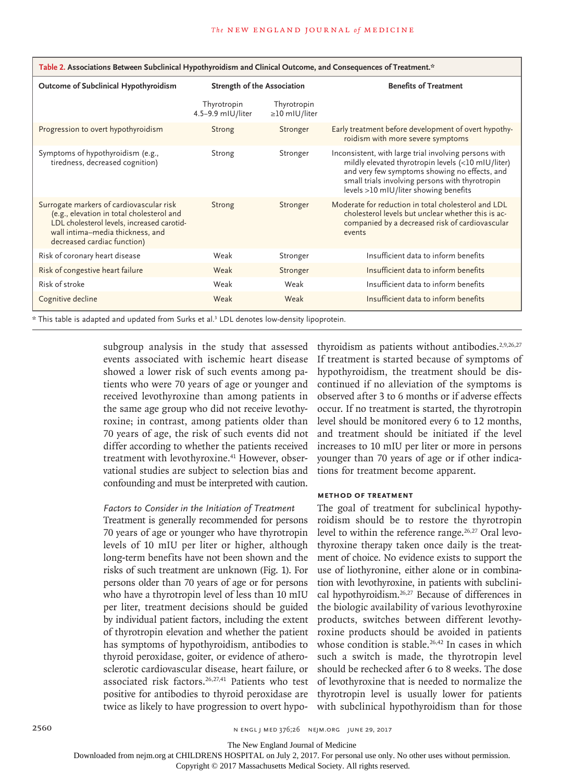| Table 2. Associations Between Subclinical Hypothyroidism and Clinical Outcome, and Consequences of Treatment.*                                                                                         |                                  |                                    |                                                                                                                                                                                                                                                          |  |  |
|--------------------------------------------------------------------------------------------------------------------------------------------------------------------------------------------------------|----------------------------------|------------------------------------|----------------------------------------------------------------------------------------------------------------------------------------------------------------------------------------------------------------------------------------------------------|--|--|
| Outcome of Subclinical Hypothyroidism                                                                                                                                                                  | Strength of the Association      |                                    | <b>Benefits of Treatment</b>                                                                                                                                                                                                                             |  |  |
|                                                                                                                                                                                                        | Thyrotropin<br>4.5-9.9 mIU/liter | Thyrotropin<br>$\geq$ 10 mIU/liter |                                                                                                                                                                                                                                                          |  |  |
| Progression to overt hypothyroidism                                                                                                                                                                    | Strong                           | Stronger                           | Early treatment before development of overt hypothy-<br>roidism with more severe symptoms                                                                                                                                                                |  |  |
| Symptoms of hypothyroidism (e.g.,<br>tiredness, decreased cognition)                                                                                                                                   | Strong                           | Stronger                           | Inconsistent, with large trial involving persons with<br>mildly elevated thyrotropin levels (<10 mIU/liter)<br>and very few symptoms showing no effects, and<br>small trials involving persons with thyrotropin<br>levels >10 mIU/liter showing benefits |  |  |
| Surrogate markers of cardiovascular risk<br>(e.g., elevation in total cholesterol and<br>LDL cholesterol levels, increased carotid-<br>wall intima-media thickness, and<br>decreased cardiac function) | Strong                           | Stronger                           | Moderate for reduction in total cholesterol and LDL<br>cholesterol levels but unclear whether this is ac-<br>companied by a decreased risk of cardiovascular<br>events                                                                                   |  |  |
| Risk of coronary heart disease                                                                                                                                                                         | Weak                             | Stronger                           | Insufficient data to inform benefits                                                                                                                                                                                                                     |  |  |
| Risk of congestive heart failure                                                                                                                                                                       | Weak                             | Stronger                           | Insufficient data to inform benefits                                                                                                                                                                                                                     |  |  |
| Risk of stroke                                                                                                                                                                                         | Weak                             | Weak                               | Insufficient data to inform benefits                                                                                                                                                                                                                     |  |  |
| Cognitive decline                                                                                                                                                                                      | Weak                             | Weak                               | Insufficient data to inform benefits                                                                                                                                                                                                                     |  |  |

\* This table is adapted and updated from Surks et al.3 LDL denotes low-density lipoprotein.

subgroup analysis in the study that assessed events associated with ischemic heart disease showed a lower risk of such events among patients who were 70 years of age or younger and received levothyroxine than among patients in the same age group who did not receive levothyroxine; in contrast, among patients older than 70 years of age, the risk of such events did not differ according to whether the patients received treatment with levothyroxine.<sup>41</sup> However, observational studies are subject to selection bias and confounding and must be interpreted with caution.

## *Factors to Consider in the Initiation of Treatment*

Treatment is generally recommended for persons 70 years of age or younger who have thyrotropin levels of 10 mIU per liter or higher, although long-term benefits have not been shown and the risks of such treatment are unknown (Fig. 1). For persons older than 70 years of age or for persons who have a thyrotropin level of less than 10 mIU per liter, treatment decisions should be guided by individual patient factors, including the extent of thyrotropin elevation and whether the patient has symptoms of hypothyroidism, antibodies to thyroid peroxidase, goiter, or evidence of atherosclerotic cardiovascular disease, heart failure, or associated risk factors.<sup>26,27,41</sup> Patients who test positive for antibodies to thyroid peroxidase are twice as likely to have progression to overt hypothyroidism as patients without antibodies. $2,9,26,27$ If treatment is started because of symptoms of hypothyroidism, the treatment should be discontinued if no alleviation of the symptoms is observed after 3 to 6 months or if adverse effects occur. If no treatment is started, the thyrotropin level should be monitored every 6 to 12 months, and treatment should be initiated if the level increases to 10 mIU per liter or more in persons younger than 70 years of age or if other indications for treatment become apparent.

## **Method of Treatment**

The goal of treatment for subclinical hypothyroidism should be to restore the thyrotropin level to within the reference range.<sup>26,27</sup> Oral levothyroxine therapy taken once daily is the treatment of choice. No evidence exists to support the use of liothyronine, either alone or in combination with levothyroxine, in patients with subclinical hypothyroidism.26,27 Because of differences in the biologic availability of various levothyroxine products, switches between different levothyroxine products should be avoided in patients whose condition is stable.<sup>26,42</sup> In cases in which such a switch is made, the thyrotropin level should be rechecked after 6 to 8 weeks. The dose of levothyroxine that is needed to normalize the thyrotropin level is usually lower for patients with subclinical hypothyroidism than for those

The New England Journal of Medicine

Downloaded from nejm.org at CHILDRENS HOSPITAL on July 2, 2017. For personal use only. No other uses without permission.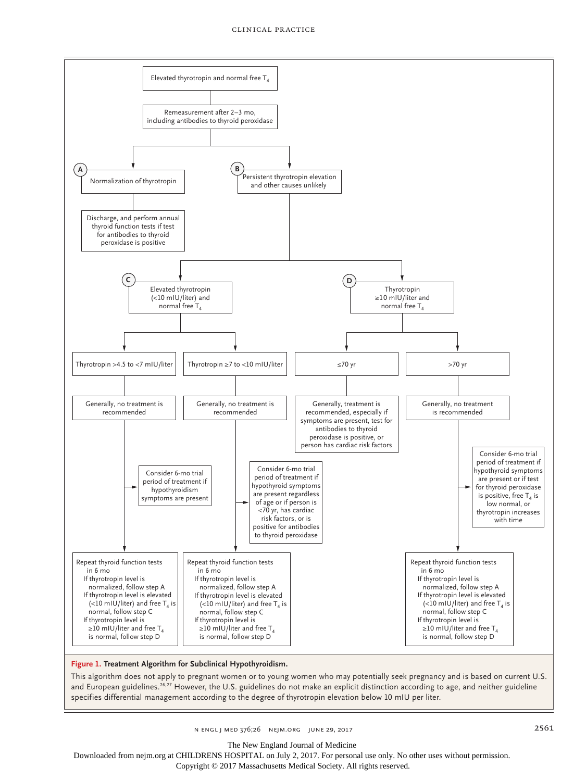

#### **Figure 1. Treatment Algorithm for Subclinical Hypothyroidism.**

This algorithm does not apply to pregnant women or to young women who may potentially seek pregnancy and is based on current U.S. and European guidelines.<sup>26,27</sup> However, the U.S. guidelines do not make an explicit distinction according to age, and neither guideline specifies differential management according to the degree of thyrotropin elevation below 10 mIU per liter.

The New England Journal of Medicine

Downloaded from nejm.org at CHILDRENS HOSPITAL on July 2, 2017. For personal use only. No other uses without permission.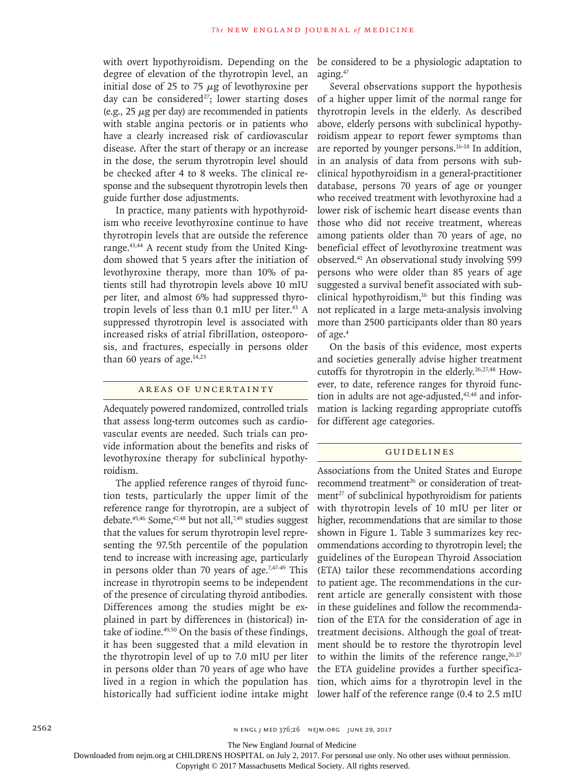with overt hypothyroidism. Depending on the degree of elevation of the thyrotropin level, an initial dose of 25 to 75  $\mu$ g of levothyroxine per day can be considered<sup>27</sup>; lower starting doses (e.g.,  $25 \mu$ g per day) are recommended in patients with stable angina pectoris or in patients who have a clearly increased risk of cardiovascular disease. After the start of therapy or an increase in the dose, the serum thyrotropin level should be checked after 4 to 8 weeks. The clinical response and the subsequent thyrotropin levels then guide further dose adjustments.

In practice, many patients with hypothyroidism who receive levothyroxine continue to have thyrotropin levels that are outside the reference range.<sup>43,44</sup> A recent study from the United Kingdom showed that 5 years after the initiation of levothyroxine therapy, more than 10% of patients still had thyrotropin levels above 10 mIU per liter, and almost 6% had suppressed thyrotropin levels of less than  $0.1$  mIU per liter.<sup>43</sup> A suppressed thyrotropin level is associated with increased risks of atrial fibrillation, osteoporosis, and fractures, especially in persons older than 60 years of age. $14,23$ 

## Areas of Uncertainty

Adequately powered randomized, controlled trials that assess long-term outcomes such as cardiovascular events are needed. Such trials can provide information about the benefits and risks of levothyroxine therapy for subclinical hypothyroidism.

The applied reference ranges of thyroid function tests, particularly the upper limit of the reference range for thyrotropin, are a subject of debate.<sup>45,46</sup> Some,<sup>47,48</sup> but not all,<sup>7,49</sup> studies suggest that the values for serum thyrotropin level representing the 97.5th percentile of the population tend to increase with increasing age, particularly in persons older than 70 years of age.<sup>7,47-49</sup> This increase in thyrotropin seems to be independent of the presence of circulating thyroid antibodies. Differences among the studies might be explained in part by differences in (historical) intake of iodine.<sup>49,50</sup> On the basis of these findings, it has been suggested that a mild elevation in the thyrotropin level of up to 7.0 mIU per liter in persons older than 70 years of age who have lived in a region in which the population has historically had sufficient iodine intake might be considered to be a physiologic adaptation to aging.47

Several observations support the hypothesis of a higher upper limit of the normal range for thyrotropin levels in the elderly. As described above, elderly persons with subclinical hypothyroidism appear to report fewer symptoms than are reported by younger persons.16-18 In addition, in an analysis of data from persons with subclinical hypothyroidism in a general-practitioner database, persons 70 years of age or younger who received treatment with levothyroxine had a lower risk of ischemic heart disease events than those who did not receive treatment, whereas among patients older than 70 years of age, no beneficial effect of levothyroxine treatment was observed.41 An observational study involving 599 persons who were older than 85 years of age suggested a survival benefit associated with subclinical hypothyroidism, $16$  but this finding was not replicated in a large meta-analysis involving more than 2500 participants older than 80 years of age.4

On the basis of this evidence, most experts and societies generally advise higher treatment cutoffs for thyrotropin in the elderly.26,27,48 However, to date, reference ranges for thyroid function in adults are not age-adjusted, $42,48$  and information is lacking regarding appropriate cutoffs for different age categories.

#### Guidelines

Associations from the United States and Europe recommend treatment<sup>26</sup> or consideration of treatment $^{27}$  of subclinical hypothyroidism for patients with thyrotropin levels of 10 mIU per liter or higher, recommendations that are similar to those shown in Figure 1. Table 3 summarizes key recommendations according to thyrotropin level; the guidelines of the European Thyroid Association (ETA) tailor these recommendations according to patient age. The recommendations in the current article are generally consistent with those in these guidelines and follow the recommendation of the ETA for the consideration of age in treatment decisions. Although the goal of treatment should be to restore the thyrotropin level to within the limits of the reference range,  $26,27$ the ETA guideline provides a further specification, which aims for a thyrotropin level in the lower half of the reference range (0.4 to 2.5 mIU

The New England Journal of Medicine

Downloaded from nejm.org at CHILDRENS HOSPITAL on July 2, 2017. For personal use only. No other uses without permission.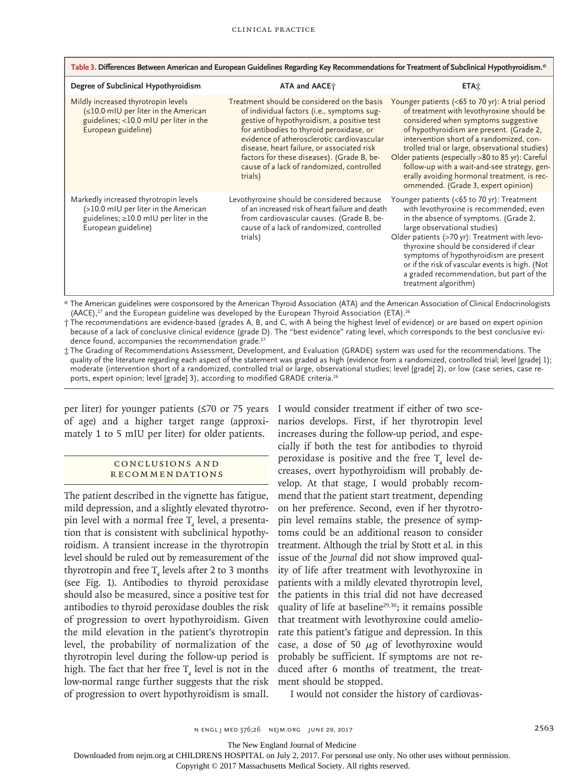| Table 3. Differences Between American and European Guidelines Regarding Key Recommendations for Treatment of Subclinical Hypothyroidism.*            |                                                                                                                                                                                                                                                                                                                                                                                       |                                                                                                                                                                                                                                                                                                                                                                                                                                                                          |  |  |  |
|------------------------------------------------------------------------------------------------------------------------------------------------------|---------------------------------------------------------------------------------------------------------------------------------------------------------------------------------------------------------------------------------------------------------------------------------------------------------------------------------------------------------------------------------------|--------------------------------------------------------------------------------------------------------------------------------------------------------------------------------------------------------------------------------------------------------------------------------------------------------------------------------------------------------------------------------------------------------------------------------------------------------------------------|--|--|--|
| Degree of Subclinical Hypothyroidism                                                                                                                 | ATA and AACE;                                                                                                                                                                                                                                                                                                                                                                         | <b>ETA</b> <sub>X</sub>                                                                                                                                                                                                                                                                                                                                                                                                                                                  |  |  |  |
| Mildly increased thyrotropin levels<br>(≤10.0 mIU per liter in the American<br>guidelines; <10.0 mIU per liter in the<br>European guideline)         | Treatment should be considered on the basis<br>of individual factors (i.e., symptoms sug-<br>gestive of hypothyroidism, a positive test<br>for antibodies to thyroid peroxidase, or<br>evidence of atherosclerotic cardiovascular<br>disease, heart failure, or associated risk<br>factors for these diseases). (Grade B, be-<br>cause of a lack of randomized, controlled<br>trials) | Younger patients (<65 to 70 yr): A trial period<br>of treatment with levothyroxine should be<br>considered when symptoms suggestive<br>of hypothyroidism are present. (Grade 2,<br>intervention short of a randomized, con-<br>trolled trial or large, observational studies)<br>Older patients (especially >80 to 85 yr): Careful<br>follow-up with a wait-and-see strategy, gen-<br>erally avoiding hormonal treatment, is rec-<br>ommended. (Grade 3, expert opinion) |  |  |  |
| Markedly increased thyrotropin levels<br>(>10.0 mIU per liter in the American<br>guidelines; $\geq$ 10.0 mIU per liter in the<br>European guideline) | Levothyroxine should be considered because<br>of an increased risk of heart failure and death<br>from cardiovascular causes. (Grade B, be-<br>cause of a lack of randomized, controlled<br>trials)                                                                                                                                                                                    | Younger patients (<65 to 70 yr): Treatment<br>with levothyroxine is recommended, even<br>in the absence of symptoms. (Grade 2,<br>large observational studies)<br>Older patients (>70 yr): Treatment with levo-<br>thyroxine should be considered if clear<br>symptoms of hypothyroidism are present<br>or if the risk of vascular events is high. (Not<br>a graded recommendation, but part of the<br>treatment algorithm)                                              |  |  |  |

\* The American guidelines were cosponsored by the American Thyroid Association (ATA) and the American Association of Clinical Endocrinologists  $(AACE)$ ,<sup>27</sup> and the European guideline was developed by the European Thyroid Association (ETA).<sup>26</sup>

† The recommendations are evidence-based (grades A, B, and C, with A being the highest level of evidence) or are based on expert opinion because of a lack of conclusive clinical evidence (grade D). The "best evidence" rating level, which corresponds to the best conclusive evidence found, accompanies the recommendation grade.<sup>27</sup>

‡ The Grading of Recommendations Assessment, Development, and Evaluation (GRADE) system was used for the recommendations. The quality of the literature regarding each aspect of the statement was graded as high (evidence from a randomized, controlled trial; level [grade] 1); moderate (intervention short of a randomized, controlled trial or large, observational studies; level [grade] 2), or low (case series, case reports, expert opinion; level [grade] 3), according to modified GRADE criteria.<sup>26</sup>

per liter) for younger patients (≤70 or 75 years of age) and a higher target range (approximately 1 to 5 mIU per liter) for older patients.

## Conclusions a nd Recommendations

The patient described in the vignette has fatigue, mild depression, and a slightly elevated thyrotropin level with a normal free  $T_4$  level, a presentation that is consistent with subclinical hypothyroidism. A transient increase in the thyrotropin level should be ruled out by remeasurement of the thyrotropin and free  $T_4$  levels after 2 to 3 months (see Fig. 1). Antibodies to thyroid peroxidase should also be measured, since a positive test for antibodies to thyroid peroxidase doubles the risk of progression to overt hypothyroidism. Given the mild elevation in the patient's thyrotropin level, the probability of normalization of the thyrotropin level during the follow-up period is high. The fact that her free  $T_4$  level is not in the low-normal range further suggests that the risk of progression to overt hypothyroidism is small.

I would consider treatment if either of two scenarios develops. First, if her thyrotropin level increases during the follow-up period, and especially if both the test for antibodies to thyroid peroxidase is positive and the free  $T_{\scriptscriptstyle 4}$  level decreases, overt hypothyroidism will probably develop. At that stage, I would probably recommend that the patient start treatment, depending on her preference. Second, even if her thyrotropin level remains stable, the presence of symptoms could be an additional reason to consider treatment. Although the trial by Stott et al. in this issue of the *Journal* did not show improved quality of life after treatment with levothyroxine in patients with a mildly elevated thyrotropin level, the patients in this trial did not have decreased quality of life at baseline<sup>29,30</sup>; it remains possible that treatment with levothyroxine could ameliorate this patient's fatigue and depression. In this case, a dose of 50  $\mu$ g of levothyroxine would probably be sufficient. If symptoms are not reduced after 6 months of treatment, the treatment should be stopped.

I would not consider the history of cardiovas-

The New England Journal of Medicine

Downloaded from nejm.org at CHILDRENS HOSPITAL on July 2, 2017. For personal use only. No other uses without permission.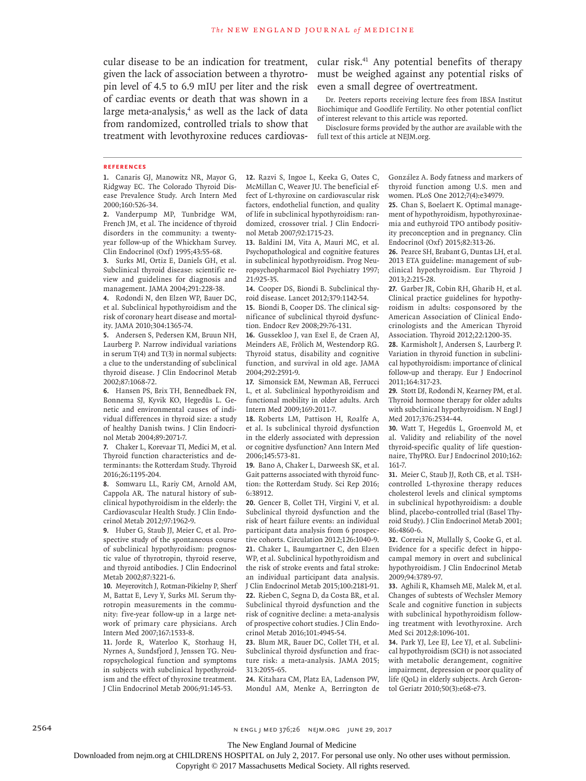cular disease to be an indication for treatment, cular risk.<sup>41</sup> Any potential benefits of therapy given the lack of association between a thyrotropin level of 4.5 to 6.9 mIU per liter and the risk of cardiac events or death that was shown in a large meta-analysis,<sup>4</sup> as well as the lack of data from randomized, controlled trials to show that treatment with levothyroxine reduces cardiovas-

must be weighed against any potential risks of even a small degree of overtreatment.

Dr. Peeters reports receiving lecture fees from IBSA Institut Biochimique and Goodlife Fertility. No other potential conflict of interest relevant to this article was reported.

Disclosure forms provided by the author are available with the full text of this article at NEJM.org.

#### **References**

**1.** Canaris GJ, Manowitz NR, Mayor G, Ridgway EC. The Colorado Thyroid Disease Prevalence Study. Arch Intern Med 2000;160:526-34.

**2.** Vanderpump MP, Tunbridge WM, French JM, et al. The incidence of thyroid disorders in the community: a twentyyear follow-up of the Whickham Survey. Clin Endocrinol (Oxf) 1995;43:55-68.

**3.** Surks MI, Ortiz E, Daniels GH, et al. Subclinical thyroid disease: scientific review and guidelines for diagnosis and management. JAMA 2004;291:228-38.

**4.** Rodondi N, den Elzen WP, Bauer DC, et al. Subclinical hypothyroidism and the risk of coronary heart disease and mortality. JAMA 2010;304:1365-74.

**5.** Andersen S, Pedersen KM, Bruun NH, Laurberg P. Narrow individual variations in serum T(4) and T(3) in normal subjects: a clue to the understanding of subclinical thyroid disease. J Clin Endocrinol Metab 2002;87:1068-72.

**6.** Hansen PS, Brix TH, Bennedbaek FN, Bonnema SJ, Kyvik KO, Hegedüs L. Genetic and environmental causes of individual differences in thyroid size: a study of healthy Danish twins. J Clin Endocrinol Metab 2004;89:2071-7.

**7.** Chaker L, Korevaar TI, Medici M, et al. Thyroid function characteristics and determinants: the Rotterdam Study. Thyroid 2016;26:1195-204.

**8.** Somwaru LL, Rariy CM, Arnold AM, Cappola AR. The natural history of subclinical hypothyroidism in the elderly: the Cardiovascular Health Study. J Clin Endocrinol Metab 2012;97:1962-9.

**9.** Huber G, Staub JJ, Meier C, et al. Prospective study of the spontaneous course of subclinical hypothyroidism: prognostic value of thyrotropin, thyroid reserve, and thyroid antibodies. J Clin Endocrinol Metab 2002;87:3221-6.

**10.** Meyerovitch J, Rotman-Pikielny P, Sherf M, Battat E, Levy Y, Surks MI. Serum thyrotropin measurements in the community: five-year follow-up in a large network of primary care physicians. Arch Intern Med 2007;167:1533-8.

**11.** Jorde R, Waterloo K, Storhaug H, Nyrnes A, Sundsfjord J, Jenssen TG. Neuropsychological function and symptoms in subjects with subclinical hypothyroidism and the effect of thyroxine treatment. J Clin Endocrinol Metab 2006;91:145-53.

**12.** Razvi S, Ingoe L, Keeka G, Oates C, McMillan C, Weaver JU. The beneficial effect of L-thyroxine on cardiovascular risk factors, endothelial function, and quality of life in subclinical hypothyroidism: randomized, crossover trial. J Clin Endocrinol Metab 2007;92:1715-23.

**13.** Baldini IM, Vita A, Mauri MC, et al. Psychopathological and cognitive features in subclinical hypothyroidism. Prog Neuropsychopharmacol Biol Psychiatry 1997; 21:925-35.

**14.** Cooper DS, Biondi B. Subclinical thyroid disease. Lancet 2012;379:1142-54.

**15.** Biondi B, Cooper DS. The clinical significance of subclinical thyroid dysfunction. Endocr Rev 2008;29:76-131.

**16.** Gussekloo J, van Exel E, de Craen AJ, Meinders AE, Frölich M, Westendorp RG. Thyroid status, disability and cognitive function, and survival in old age. JAMA 2004;292:2591-9.

**17.** Simonsick EM, Newman AB, Ferrucci L, et al. Subclinical hypothyroidism and functional mobility in older adults. Arch Intern Med 2009;169:2011-7.

**18.** Roberts LM, Pattison H, Roalfe A, et al. Is subclinical thyroid dysfunction in the elderly associated with depression or cognitive dysfunction? Ann Intern Med 2006;145:573-81.

**19.** Bano A, Chaker L, Darweesh SK, et al. Gait patterns associated with thyroid function: the Rotterdam Study. Sci Rep 2016; 6:38912.

**20.** Gencer B, Collet TH, Virgini V, et al. Subclinical thyroid dysfunction and the risk of heart failure events: an individual participant data analysis from 6 prospective cohorts. Circulation 2012;126:1040-9. **21.** Chaker L, Baumgartner C, den Elzen WP, et al. Subclinical hypothyroidism and the risk of stroke events and fatal stroke: an individual participant data analysis. J Clin Endocrinol Metab 2015;100:2181-91. **22.** Rieben C, Segna D, da Costa BR, et al. Subclinical thyroid dysfunction and the risk of cognitive decline: a meta-analysis of prospective cohort studies. J Clin Endocrinol Metab 2016;101:4945-54.

**23.** Blum MR, Bauer DC, Collet TH, et al. Subclinical thyroid dysfunction and fracture risk: a meta-analysis. JAMA 2015; 313:2055-65.

**24.** Kitahara CM, Platz EA, Ladenson PW, Mondul AM, Menke A, Berrington de González A. Body fatness and markers of thyroid function among U.S. men and women. PLoS One 2012;7(4):e34979.

**25.** Chan S, Boelaert K. Optimal management of hypothyroidism, hypothyroxinaemia and euthyroid TPO antibody positivity preconception and in pregnancy. Clin Endocrinol (Oxf) 2015;82:313-26.

**26.** Pearce SH, Brabant G, Duntas LH, et al. 2013 ETA guideline: management of subclinical hypothyroidism. Eur Thyroid J 2013;2:215-28.

**27.** Garber JR, Cobin RH, Gharib H, et al. Clinical practice guidelines for hypothyroidism in adults: cosponsored by the American Association of Clinical Endocrinologists and the American Thyroid Association. Thyroid 2012;22:1200-35.

**28.** Karmisholt J, Andersen S, Laurberg P. Variation in thyroid function in subclinical hypothyroidism: importance of clinical follow-up and therapy. Eur J Endocrinol 2011;164:317-23.

**29.** Stott DJ, Rodondi N, Kearney PM, et al. Thyroid hormone therapy for older adults with subclinical hypothyroidism. N Engl J Med 2017;376:2534-44.

**30.** Watt T, Hegedüs L, Groenvold M, et al. Validity and reliability of the novel thyroid-specific quality of life questionnaire, ThyPRO. Eur J Endocrinol 2010;162: 161-7.

**31.** Meier C, Staub JJ, Roth CB, et al. TSHcontrolled L-thyroxine therapy reduces cholesterol levels and clinical symptoms in subclinical hypothyroidism: a double blind, placebo-controlled trial (Basel Thyroid Study). J Clin Endocrinol Metab 2001; 86:4860-6.

**32.** Correia N, Mullally S, Cooke G, et al. Evidence for a specific defect in hippocampal memory in overt and subclinical hypothyroidism. J Clin Endocrinol Metab 2009;94:3789-97.

**33.** Aghili R, Khamseh ME, Malek M, et al. Changes of subtests of Wechsler Memory Scale and cognitive function in subjects with subclinical hypothyroidism following treatment with levothyroxine. Arch Med Sci 2012;8:1096-101.

**34.** Park YJ, Lee EJ, Lee YJ, et al. Subclinical hypothyroidism (SCH) is not associated with metabolic derangement, cognitive impairment, depression or poor quality of life (QoL) in elderly subjects. Arch Gerontol Geriatr 2010;50(3):e68-e73.

2564 **N ENGL J MED 376;26 NEIM.ORG JUNE 29, 2017** 

The New England Journal of Medicine

Downloaded from nejm.org at CHILDRENS HOSPITAL on July 2, 2017. For personal use only. No other uses without permission.